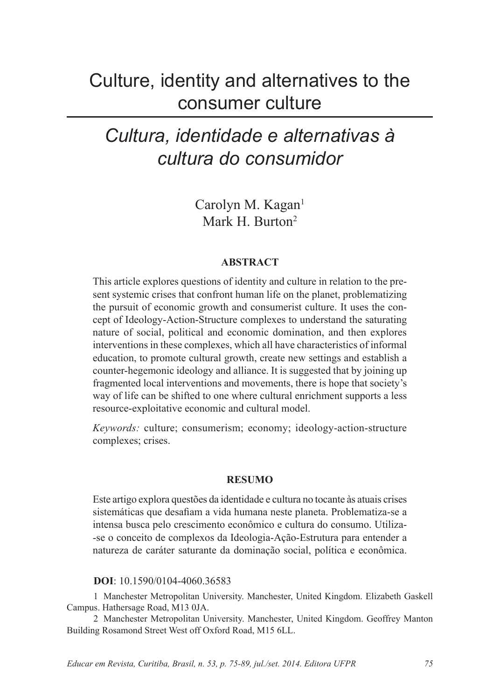## Culture, identity and alternatives to the consumer culture

# *Cultura, identidade e alternativas à cultura do consumidor*

Carolyn M. Kagan<sup>1</sup> Mark H. Burton2

#### **ABSTRACT**

This article explores questions of identity and culture in relation to the present systemic crises that confront human life on the planet, problematizing the pursuit of economic growth and consumerist culture. It uses the concept of Ideology-Action-Structure complexes to understand the saturating nature of social, political and economic domination, and then explores interventions in these complexes, which all have characteristics of informal education, to promote cultural growth, create new settings and establish a counter-hegemonic ideology and alliance. It is suggested that by joining up fragmented local interventions and movements, there is hope that society's way of life can be shifted to one where cultural enrichment supports a less resource-exploitative economic and cultural model.

*Keywords:* culture; consumerism; economy; ideology-action-structure complexes; crises.

#### **RESUMO**

Este artigo explora questões da identidade e cultura no tocante às atuais crises sistemáticas que desafiam a vida humana neste planeta. Problematiza-se a intensa busca pelo crescimento econômico e cultura do consumo. Utiliza- -se o conceito de complexos da Ideologia-Ação-Estrutura para entender a natureza de caráter saturante da dominação social, política e econômica.

**DOI**: 10.1590/0104-4060.36583

1 Manchester Metropolitan University. Manchester, United Kingdom. Elizabeth Gaskell Campus. Hathersage Road, M13 0JA.

2 Manchester Metropolitan University. Manchester, United Kingdom. Geoffrey Manton Building Rosamond Street West off Oxford Road, M15 6LL.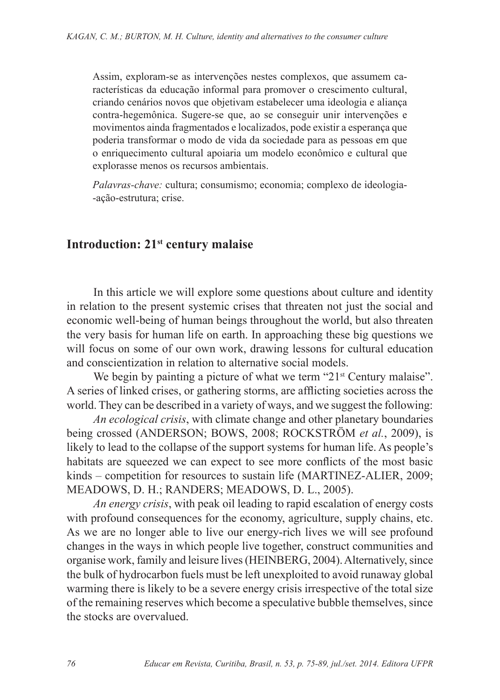Assim, exploram-se as intervenções nestes complexos, que assumem características da educação informal para promover o crescimento cultural, criando cenários novos que objetivam estabelecer uma ideologia e aliança contra-hegemônica. Sugere-se que, ao se conseguir unir intervenções e movimentos ainda fragmentados e localizados, pode existir a esperança que poderia transformar o modo de vida da sociedade para as pessoas em que o enriquecimento cultural apoiaria um modelo econômico e cultural que explorasse menos os recursos ambientais.

*Palavras-chave:* cultura; consumismo; economia; complexo de ideologia- -ação-estrutura; crise.

### **Introduction: 21st century malaise**

In this article we will explore some questions about culture and identity in relation to the present systemic crises that threaten not just the social and economic well-being of human beings throughout the world, but also threaten the very basis for human life on earth. In approaching these big questions we will focus on some of our own work, drawing lessons for cultural education and conscientization in relation to alternative social models.

We begin by painting a picture of what we term "21<sup>st</sup> Century malaise". A series of linked crises, or gathering storms, are afflicting societies across the world. They can be described in a variety of ways, and we suggest the following:

*An ecological crisis*, with climate change and other planetary boundaries being crossed (ANDERSON; BOWS, 2008; ROCKSTRÖM *et al.*, 2009), is likely to lead to the collapse of the support systems for human life. As people's habitats are squeezed we can expect to see more conflicts of the most basic kinds – competition for resources to sustain life (MARTINEZ-ALIER, 2009; MEADOWS, D. H.; RANDERS; MEADOWS, D. L., 2005).

*An energy crisis*, with peak oil leading to rapid escalation of energy costs with profound consequences for the economy, agriculture, supply chains, etc. As we are no longer able to live our energy-rich lives we will see profound changes in the ways in which people live together, construct communities and organise work, family and leisure lives (HEINBERG, 2004). Alternatively, since the bulk of hydrocarbon fuels must be left unexploited to avoid runaway global warming there is likely to be a severe energy crisis irrespective of the total size of the remaining reserves which become a speculative bubble themselves, since the stocks are overvalued.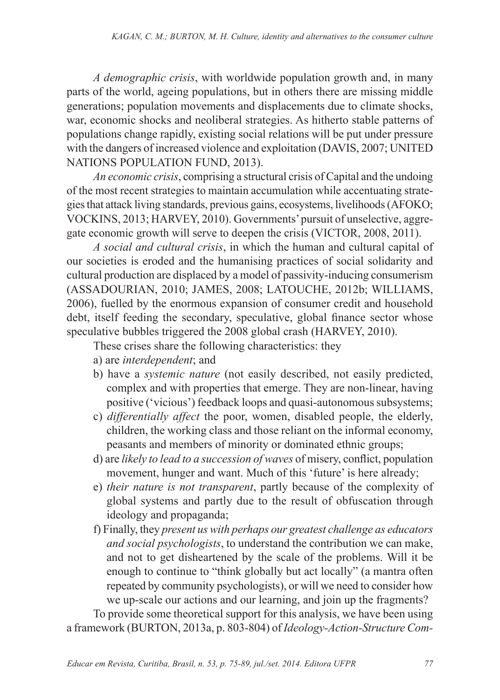*A demographic crisis*, with worldwide population growth and, in many parts of the world, ageing populations, but in others there are missing middle generations; population movements and displacements due to climate shocks, war, economic shocks and neoliberal strategies. As hitherto stable patterns of populations change rapidly, existing social relations will be put under pressure with the dangers of increased violence and exploitation (DAVIS, 2007; UNITED NATIONS POPULATION FUND, 2013).

*An economic crisis*, comprising a structural crisis of Capital and the undoing of the most recent strategies to maintain accumulation while accentuating strategies that attack living standards, previous gains, ecosystems, livelihoods (AFOKO; VOCKINS, 2013; HARVEY, 2010). Governments' pursuit of unselective, aggregate economic growth will serve to deepen the crisis (VICTOR, 2008, 2011).

*A social and cultural crisis*, in which the human and cultural capital of our societies is eroded and the humanising practices of social solidarity and cultural production are displaced by a model of passivity-inducing consumerism (ASSADOURIAN, 2010; JAMES, 2008; LATOUCHE, 2012b; WILLIAMS, 2006), fuelled by the enormous expansion of consumer credit and household debt, itself feeding the secondary, speculative, global finance sector whose speculative bubbles triggered the 2008 global crash (HARVEY, 2010).

These crises share the following characteristics: they

- a) are *interdependent*; and
- b) have a *systemic nature* (not easily described, not easily predicted, complex and with properties that emerge. They are non-linear, having positive ('vicious') feedback loops and quasi-autonomous subsystems;
- c) *differentially affect* the poor, women, disabled people, the elderly, children, the working class and those reliant on the informal economy, peasants and members of minority or dominated ethnic groups;
- d) are *likely to lead to a succession of waves* of misery, conflict, population movement, hunger and want. Much of this 'future' is here already;
- e) *their nature is not transparent*, partly because of the complexity of global systems and partly due to the result of obfuscation through ideology and propaganda;
- f) Finally, they *present us with perhaps our greatest challenge as educators and social psychologists*, to understand the contribution we can make, and not to get disheartened by the scale of the problems. Will it be enough to continue to "think globally but act locally" (a mantra often repeated by community psychologists), or will we need to consider how we up-scale our actions and our learning, and join up the fragments?

To provide some theoretical support for this analysis, we have been using a framework (BURTON, 2013a, p. 803-804) of *Ideology-Action-Structure Com-*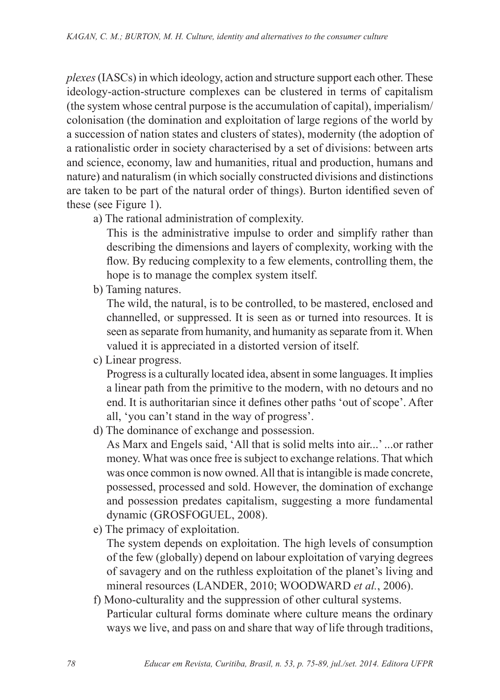*plexes* (IASCs) in which ideology, action and structure support each other. These ideology-action-structure complexes can be clustered in terms of capitalism (the system whose central purpose is the accumulation of capital), imperialism/ colonisation (the domination and exploitation of large regions of the world by a succession of nation states and clusters of states), modernity (the adoption of a rationalistic order in society characterised by a set of divisions: between arts and science, economy, law and humanities, ritual and production, humans and nature) and naturalism (in which socially constructed divisions and distinctions are taken to be part of the natural order of things). Burton identified seven of these (see Figure 1).

a) The rational administration of complexity.

This is the administrative impulse to order and simplify rather than describing the dimensions and layers of complexity, working with the flow. By reducing complexity to a few elements, controlling them, the hope is to manage the complex system itself.

b) Taming natures.

The wild, the natural, is to be controlled, to be mastered, enclosed and channelled, or suppressed. It is seen as or turned into resources. It is seen as separate from humanity, and humanity as separate from it. When valued it is appreciated in a distorted version of itself.

c) Linear progress.

Progress is a culturally located idea, absent in some languages. It implies a linear path from the primitive to the modern, with no detours and no end. It is authoritarian since it defines other paths 'out of scope'. After all, 'you can't stand in the way of progress'.

d) The dominance of exchange and possession.

As Marx and Engels said, 'All that is solid melts into air...' ...or rather money. What was once free is subject to exchange relations. That which was once common is now owned. All that is intangible is made concrete, possessed, processed and sold. However, the domination of exchange and possession predates capitalism, suggesting a more fundamental dynamic (GROSFOGUEL, 2008).

e) The primacy of exploitation.

The system depends on exploitation. The high levels of consumption of the few (globally) depend on labour exploitation of varying degrees of savagery and on the ruthless exploitation of the planet's living and mineral resources (LANDER, 2010; WOODWARD *et al.*, 2006).

f) Mono-culturality and the suppression of other cultural systems. Particular cultural forms dominate where culture means the ordinary ways we live, and pass on and share that way of life through traditions,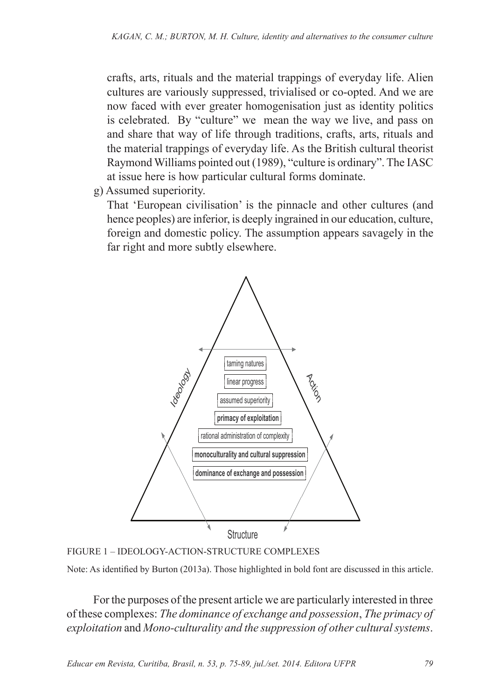crafts, arts, rituals and the material trappings of everyday life. Alien cultures are variously suppressed, trivialised or co-opted. And we are now faced with ever greater homogenisation just as identity politics is celebrated. By "culture" we mean the way we live, and pass on and share that way of life through traditions, crafts, arts, rituals and the material trappings of everyday life. As the British cultural theorist Raymond Williams pointed out (1989), "culture is ordinary". The IASC at issue here is how particular cultural forms dominate.

g) Assumed superiority.

That 'European civilisation' is the pinnacle and other cultures (and hence peoples) are inferior, is deeply ingrained in our education, culture, foreign and domestic policy. The assumption appears savagely in the far right and more subtly elsewhere.



FIGURE 1 – IDEOLOGY-ACTION-STRUCTURE COMPLEXES

Note: As identified by Burton (2013a). Those highlighted in bold font are discussed in this article.

For the purposes of the present article we are particularly interested in three of these complexes: *The dominance of exchange and possession*, *The primacy of exploitation* and *Mono-culturality and the suppression of other cultural systems*.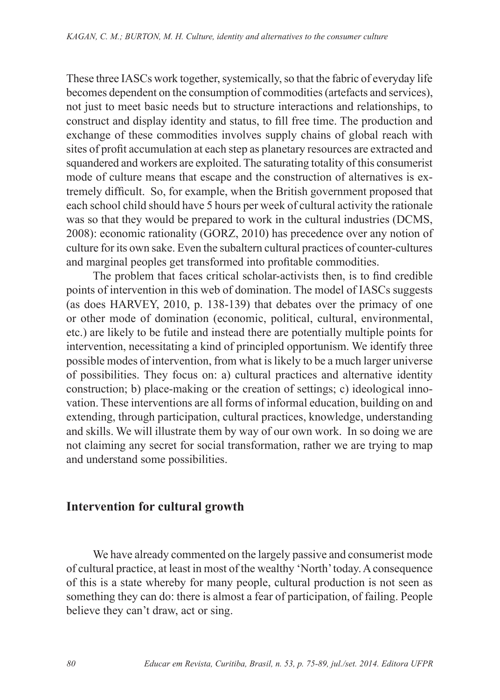These three IASCs work together, systemically, so that the fabric of everyday life becomes dependent on the consumption of commodities (artefacts and services), not just to meet basic needs but to structure interactions and relationships, to construct and display identity and status, to fill free time. The production and exchange of these commodities involves supply chains of global reach with sites of profit accumulation at each step as planetary resources are extracted and squandered and workers are exploited. The saturating totality of this consumerist mode of culture means that escape and the construction of alternatives is extremely difficult. So, for example, when the British government proposed that each school child should have 5 hours per week of cultural activity the rationale was so that they would be prepared to work in the cultural industries (DCMS, 2008): economic rationality (GORZ, 2010) has precedence over any notion of culture for its own sake. Even the subaltern cultural practices of counter-cultures and marginal peoples get transformed into profitable commodities.

The problem that faces critical scholar-activists then, is to find credible points of intervention in this web of domination. The model of IASCs suggests (as does HARVEY, 2010, p. 138-139) that debates over the primacy of one or other mode of domination (economic, political, cultural, environmental, etc.) are likely to be futile and instead there are potentially multiple points for intervention, necessitating a kind of principled opportunism. We identify three possible modes of intervention, from what is likely to be a much larger universe of possibilities. They focus on: a) cultural practices and alternative identity construction; b) place-making or the creation of settings; c) ideological innovation. These interventions are all forms of informal education, building on and extending, through participation, cultural practices, knowledge, understanding and skills. We will illustrate them by way of our own work. In so doing we are not claiming any secret for social transformation, rather we are trying to map and understand some possibilities.

#### **Intervention for cultural growth**

We have already commented on the largely passive and consumerist mode of cultural practice, at least in most of the wealthy 'North' today. A consequence of this is a state whereby for many people, cultural production is not seen as something they can do: there is almost a fear of participation, of failing. People believe they can't draw, act or sing.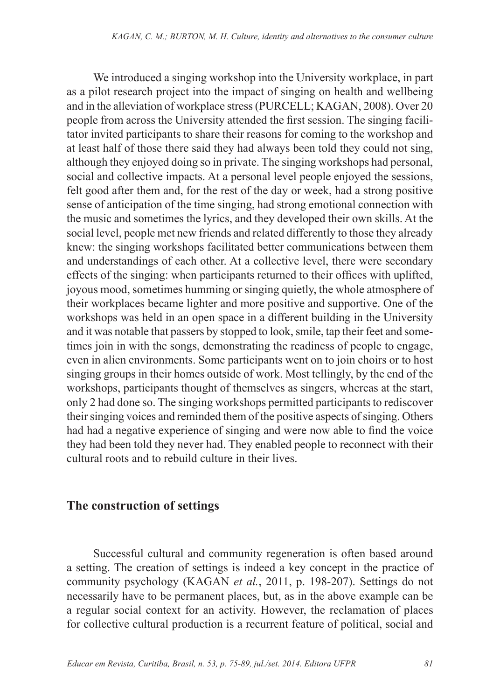We introduced a singing workshop into the University workplace, in part as a pilot research project into the impact of singing on health and wellbeing and in the alleviation of workplace stress (PURCELL; KAGAN, 2008). Over 20 people from across the University attended the first session. The singing facilitator invited participants to share their reasons for coming to the workshop and at least half of those there said they had always been told they could not sing, although they enjoyed doing so in private. The singing workshops had personal, social and collective impacts. At a personal level people enjoyed the sessions, felt good after them and, for the rest of the day or week, had a strong positive sense of anticipation of the time singing, had strong emotional connection with the music and sometimes the lyrics, and they developed their own skills. At the social level, people met new friends and related differently to those they already knew: the singing workshops facilitated better communications between them and understandings of each other. At a collective level, there were secondary effects of the singing: when participants returned to their offices with uplifted, joyous mood, sometimes humming or singing quietly, the whole atmosphere of their workplaces became lighter and more positive and supportive. One of the workshops was held in an open space in a different building in the University and it was notable that passers by stopped to look, smile, tap their feet and sometimes join in with the songs, demonstrating the readiness of people to engage, even in alien environments. Some participants went on to join choirs or to host singing groups in their homes outside of work. Most tellingly, by the end of the workshops, participants thought of themselves as singers, whereas at the start, only 2 had done so. The singing workshops permitted participants to rediscover their singing voices and reminded them of the positive aspects of singing. Others had had a negative experience of singing and were now able to find the voice they had been told they never had. They enabled people to reconnect with their cultural roots and to rebuild culture in their lives.

#### **The construction of settings**

Successful cultural and community regeneration is often based around a setting. The creation of settings is indeed a key concept in the practice of community psychology (KAGAN *et al.*, 2011, p. 198-207). Settings do not necessarily have to be permanent places, but, as in the above example can be a regular social context for an activity. However, the reclamation of places for collective cultural production is a recurrent feature of political, social and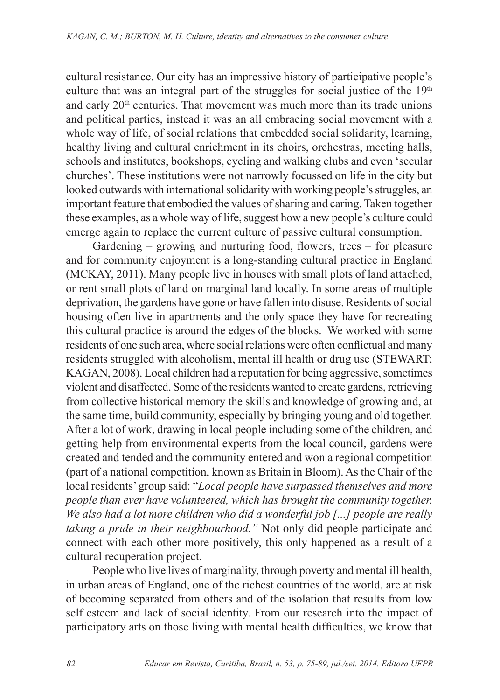cultural resistance. Our city has an impressive history of participative people's culture that was an integral part of the struggles for social justice of the 19<sup>th</sup> and early  $20<sup>th</sup>$  centuries. That movement was much more than its trade unions and political parties, instead it was an all embracing social movement with a whole way of life, of social relations that embedded social solidarity, learning, healthy living and cultural enrichment in its choirs, orchestras, meeting halls, schools and institutes, bookshops, cycling and walking clubs and even 'secular churches'. These institutions were not narrowly focussed on life in the city but looked outwards with international solidarity with working people's struggles, an important feature that embodied the values of sharing and caring. Taken together these examples, as a whole way of life, suggest how a new people's culture could emerge again to replace the current culture of passive cultural consumption.

Gardening – growing and nurturing food, flowers, trees – for pleasure and for community enjoyment is a long-standing cultural practice in England (MCKAY, 2011). Many people live in houses with small plots of land attached, or rent small plots of land on marginal land locally. In some areas of multiple deprivation, the gardens have gone or have fallen into disuse. Residents of social housing often live in apartments and the only space they have for recreating this cultural practice is around the edges of the blocks. We worked with some residents of one such area, where social relations were often conflictual and many residents struggled with alcoholism, mental ill health or drug use (STEWART; KAGAN, 2008). Local children had a reputation for being aggressive, sometimes violent and disaffected. Some of the residents wanted to create gardens, retrieving from collective historical memory the skills and knowledge of growing and, at the same time, build community, especially by bringing young and old together. After a lot of work, drawing in local people including some of the children, and getting help from environmental experts from the local council, gardens were created and tended and the community entered and won a regional competition (part of a national competition, known as Britain in Bloom). As the Chair of the local residents' group said: "*Local people have surpassed themselves and more people than ever have volunteered, which has brought the community together. We also had a lot more children who did a wonderful job [...] people are really taking a pride in their neighbourhood."* Not only did people participate and connect with each other more positively, this only happened as a result of a cultural recuperation project.

People who live lives of marginality, through poverty and mental ill health, in urban areas of England, one of the richest countries of the world, are at risk of becoming separated from others and of the isolation that results from low self esteem and lack of social identity. From our research into the impact of participatory arts on those living with mental health difficulties, we know that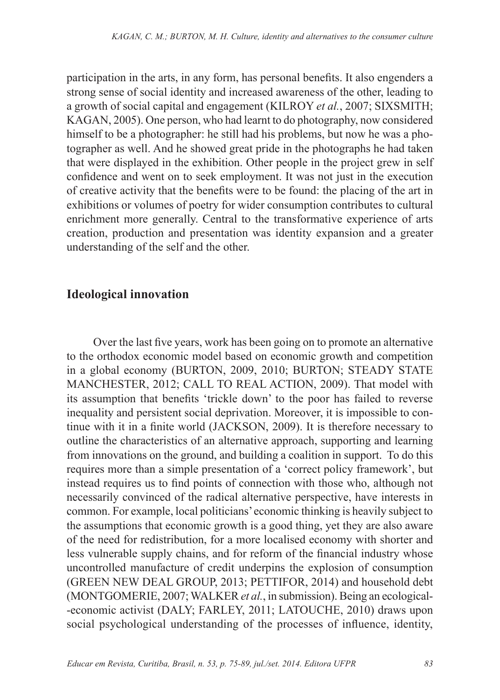participation in the arts, in any form, has personal benefits. It also engenders a strong sense of social identity and increased awareness of the other, leading to a growth of social capital and engagement (KILROY *et al.*, 2007; SIXSMITH; KAGAN, 2005). One person, who had learnt to do photography, now considered himself to be a photographer: he still had his problems, but now he was a photographer as well. And he showed great pride in the photographs he had taken that were displayed in the exhibition. Other people in the project grew in self confidence and went on to seek employment. It was not just in the execution of creative activity that the benefits were to be found: the placing of the art in exhibitions or volumes of poetry for wider consumption contributes to cultural enrichment more generally. Central to the transformative experience of arts creation, production and presentation was identity expansion and a greater understanding of the self and the other.

### **Ideological innovation**

Over the last five years, work has been going on to promote an alternative to the orthodox economic model based on economic growth and competition in a global economy (BURTON, 2009, 2010; BURTON; STEADY STATE MANCHESTER, 2012; CALL TO REAL ACTION, 2009). That model with its assumption that benefits 'trickle down' to the poor has failed to reverse inequality and persistent social deprivation. Moreover, it is impossible to continue with it in a finite world (JACKSON, 2009). It is therefore necessary to outline the characteristics of an alternative approach, supporting and learning from innovations on the ground, and building a coalition in support. To do this requires more than a simple presentation of a 'correct policy framework', but instead requires us to find points of connection with those who, although not necessarily convinced of the radical alternative perspective, have interests in common. For example, local politicians' economic thinking is heavily subject to the assumptions that economic growth is a good thing, yet they are also aware of the need for redistribution, for a more localised economy with shorter and less vulnerable supply chains, and for reform of the financial industry whose uncontrolled manufacture of credit underpins the explosion of consumption (GREEN NEW DEAL GROUP, 2013; PETTIFOR, 2014) and household debt (MONTGOMERIE, 2007; WALKER *et al.*, in submission). Being an ecological- -economic activist (DALY; FARLEY, 2011; LATOUCHE, 2010) draws upon social psychological understanding of the processes of influence, identity,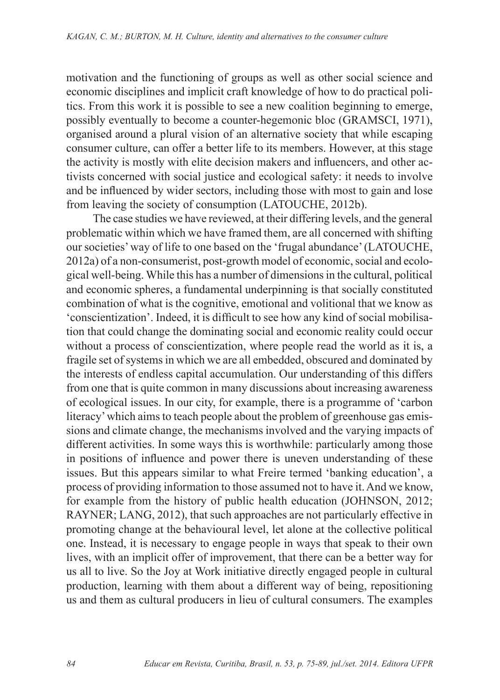motivation and the functioning of groups as well as other social science and economic disciplines and implicit craft knowledge of how to do practical politics. From this work it is possible to see a new coalition beginning to emerge, possibly eventually to become a counter-hegemonic bloc (GRAMSCI, 1971), organised around a plural vision of an alternative society that while escaping consumer culture, can offer a better life to its members. However, at this stage the activity is mostly with elite decision makers and influencers, and other activists concerned with social justice and ecological safety: it needs to involve and be influenced by wider sectors, including those with most to gain and lose from leaving the society of consumption (LATOUCHE, 2012b).

The case studies we have reviewed, at their differing levels, and the general problematic within which we have framed them, are all concerned with shifting our societies' way of life to one based on the 'frugal abundance' (LATOUCHE, 2012a) of a non-consumerist, post-growth model of economic, social and ecological well-being. While this has a number of dimensions in the cultural, political and economic spheres, a fundamental underpinning is that socially constituted combination of what is the cognitive, emotional and volitional that we know as 'conscientization'. Indeed, it is difficult to see how any kind of social mobilisation that could change the dominating social and economic reality could occur without a process of conscientization, where people read the world as it is, a fragile set of systems in which we are all embedded, obscured and dominated by the interests of endless capital accumulation. Our understanding of this differs from one that is quite common in many discussions about increasing awareness of ecological issues. In our city, for example, there is a programme of 'carbon literacy' which aims to teach people about the problem of greenhouse gas emissions and climate change, the mechanisms involved and the varying impacts of different activities. In some ways this is worthwhile: particularly among those in positions of influence and power there is uneven understanding of these issues. But this appears similar to what Freire termed 'banking education', a process of providing information to those assumed not to have it. And we know, for example from the history of public health education (JOHNSON, 2012; RAYNER; LANG, 2012), that such approaches are not particularly effective in promoting change at the behavioural level, let alone at the collective political one. Instead, it is necessary to engage people in ways that speak to their own lives, with an implicit offer of improvement, that there can be a better way for us all to live. So the Joy at Work initiative directly engaged people in cultural production, learning with them about a different way of being, repositioning us and them as cultural producers in lieu of cultural consumers. The examples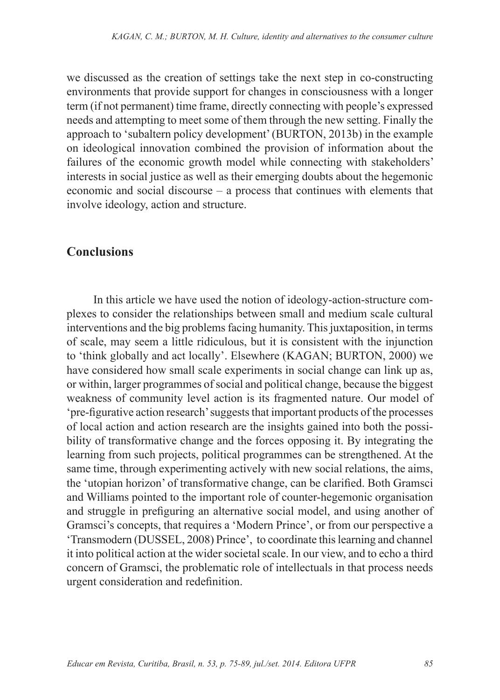we discussed as the creation of settings take the next step in co-constructing environments that provide support for changes in consciousness with a longer term (if not permanent) time frame, directly connecting with people's expressed needs and attempting to meet some of them through the new setting. Finally the approach to 'subaltern policy development' (BURTON, 2013b) in the example on ideological innovation combined the provision of information about the failures of the economic growth model while connecting with stakeholders' interests in social justice as well as their emerging doubts about the hegemonic economic and social discourse – a process that continues with elements that involve ideology, action and structure.

#### **Conclusions**

In this article we have used the notion of ideology-action-structure complexes to consider the relationships between small and medium scale cultural interventions and the big problems facing humanity. This juxtaposition, in terms of scale, may seem a little ridiculous, but it is consistent with the injunction to 'think globally and act locally'. Elsewhere (KAGAN; BURTON, 2000) we have considered how small scale experiments in social change can link up as, or within, larger programmes of social and political change, because the biggest weakness of community level action is its fragmented nature. Our model of 'pre-figurative action research' suggests that important products of the processes of local action and action research are the insights gained into both the possibility of transformative change and the forces opposing it. By integrating the learning from such projects, political programmes can be strengthened. At the same time, through experimenting actively with new social relations, the aims, the 'utopian horizon' of transformative change, can be clarified. Both Gramsci and Williams pointed to the important role of counter-hegemonic organisation and struggle in prefiguring an alternative social model, and using another of Gramsci's concepts, that requires a 'Modern Prince', or from our perspective a 'Transmodern (DUSSEL, 2008) Prince', to coordinate this learning and channel it into political action at the wider societal scale. In our view, and to echo a third concern of Gramsci, the problematic role of intellectuals in that process needs urgent consideration and redefinition.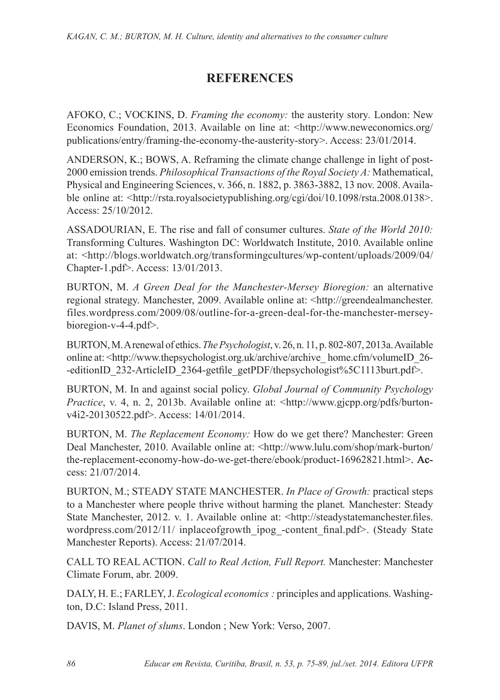## **REFERENCES**

AFOKO, C.; VOCKINS, D. *Framing the economy:* the austerity story*.* London: New Economics Foundation, 2013. Available on line at: <http://www.neweconomics.org/ publications/entry/framing-the-economy-the-austerity-story>. Access: 23/01/2014.

ANDERSON, K.; BOWS, A. Reframing the climate change challenge in light of post-2000 emission trends. *Philosophical Transactions of the Royal Society A:* Mathematical, Physical and Engineering Sciences, v. 366, n. 1882, p. 3863-3882, 13 nov. 2008. Available online at: <http://rsta.royalsocietypublishing.org/cgi/doi/10.1098/rsta.2008.0138>. Access: 25/10/2012.

ASSADOURIAN, E. The rise and fall of consumer cultures. *State of the World 2010:*  Transforming Cultures. Washington DC: Worldwatch Institute, 2010. Available online at: <http://blogs.worldwatch.org/transformingcultures/wp-content/uploads/2009/04/ Chapter-1.pdf>. Access: 13/01/2013.

BURTON, M. *A Green Deal for the Manchester-Mersey Bioregion:* an alternative regional strategy. Manchester, 2009. Available online at: <http://greendealmanchester. files.wordpress.com/2009/08/outline-for-a-green-deal-for-the-manchester-merseybioregion-v-4-4.pdf>.

BURTON, M. A renewal of ethics. *The Psychologist*, v. 26, n. 11, p. 802-807, 2013a. Available online at: <http://www.thepsychologist.org.uk/archive/archive\_home.cfm/volumeID\_26--editionID\_232-ArticleID\_2364-getfile\_getPDF/thepsychologist%5C1113burt.pdf>.

BURTON, M. In and against social policy. *Global Journal of Community Psychology Practice*, v. 4, n. 2, 2013b. Available online at: <http://www.gjcpp.org/pdfs/burtonv4i2-20130522.pdf>. Access: 14/01/2014.

BURTON, M. *The Replacement Economy:* How do we get there? Manchester: Green Deal Manchester, 2010. Available online at: <http://www.lulu.com/shop/mark-burton/ the-replacement-economy-how-do-we-get-there/ebook/product-16962821.html>. Access: 21/07/2014.

BURTON, M.; STEADY STATE MANCHESTER. *In Place of Growth:* practical steps to a Manchester where people thrive without harming the planet*.* Manchester: Steady State Manchester, 2012. v. 1. Available online at: <http://steadystatemanchester.files. wordpress.com/2012/11/ inplaceofgrowth\_ipog\_-content\_final.pdf>. (Steady State Manchester Reports). Access: 21/07/2014.

CALL TO REAL ACTION. *Call to Real Action, Full Report.* Manchester: Manchester Climate Forum, abr. 2009.

DALY, H. E.; FARLEY, J. *Ecological economics :* principles and applications. Washington, D.C: Island Press, 2011.

DAVIS, M. *Planet of slums*. London ; New York: Verso, 2007.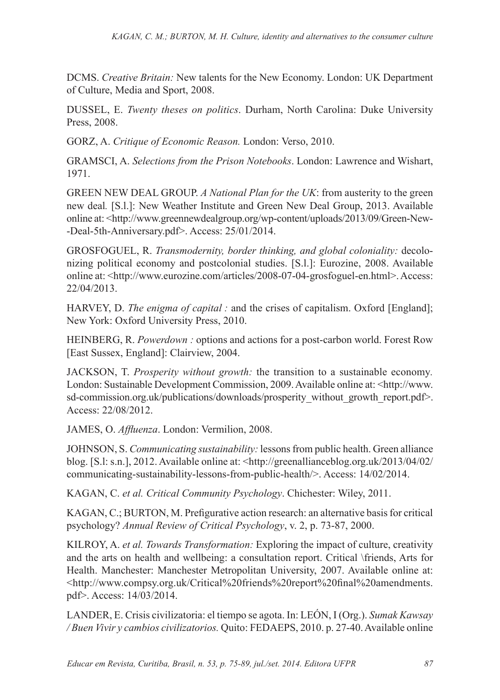DCMS. *Creative Britain:* New talents for the New Economy. London: UK Department of Culture, Media and Sport, 2008.

DUSSEL, E. *Twenty theses on politics*. Durham, North Carolina: Duke University Press, 2008.

GORZ, A. *Critique of Economic Reason.* London: Verso, 2010.

GRAMSCI, A. *Selections from the Prison Notebooks*. London: Lawrence and Wishart, 1971.

GREEN NEW DEAL GROUP. *A National Plan for the UK*: from austerity to the green new deal*.* [S.l.]: New Weather Institute and Green New Deal Group, 2013. Available online at: <http://www.greennewdealgroup.org/wp-content/uploads/2013/09/Green-New- -Deal-5th-Anniversary.pdf>. Access: 25/01/2014.

GROSFOGUEL, R. *Transmodernity, border thinking, and global coloniality:* decolonizing political economy and postcolonial studies. [S.l.]: Eurozine, 2008. Available online at: <http://www.eurozine.com/articles/2008-07-04-grosfoguel-en.html>. Access: 22/04/2013.

HARVEY, D. *The enigma of capital* : and the crises of capitalism. Oxford [England]; New York: Oxford University Press, 2010.

HEINBERG, R. *Powerdown :* options and actions for a post-carbon world. Forest Row [East Sussex, England]: Clairview, 2004.

JACKSON, T. *Prosperity without growth:* the transition to a sustainable economy*.* London: Sustainable Development Commission, 2009. Available online at: <http://www. sd-commission.org.uk/publications/downloads/prosperity\_without\_growth\_report.pdf>. Access: 22/08/2012.

JAMES, O. *Affluenza*. London: Vermilion, 2008.

JOHNSON, S. *Communicating sustainability:* lessons from public health. Green alliance blog. [S.l: s.n.], 2012. Available online at: <http://greenallianceblog.org.uk/2013/04/02/ communicating-sustainability-lessons-from-public-health/>. Access: 14/02/2014.

KAGAN, C. *et al. Critical Community Psychology*. Chichester: Wiley, 2011.

KAGAN, C.; BURTON, M. Prefigurative action research: an alternative basis for critical psychology? *Annual Review of Critical Psychology*, v. 2, p. 73-87, 2000.

KILROY, A. *et al. Towards Transformation:* Exploring the impact of culture, creativity and the arts on health and wellbeing: a consultation report. Critical \friends, Arts for Health. Manchester: Manchester Metropolitan University, 2007. Available online at: <http://www.compsy.org.uk/Critical%20friends%20report%20final%20amendments. pdf>. Access: 14/03/2014.

LANDER, E. Crisis civilizatoria: el tiempo se agota. In: LEÓN, I (Org.). *Sumak Kawsay / Buen Vivir y cambios civilizatorios.* Quito: FEDAEPS, 2010. p. 27-40. Available online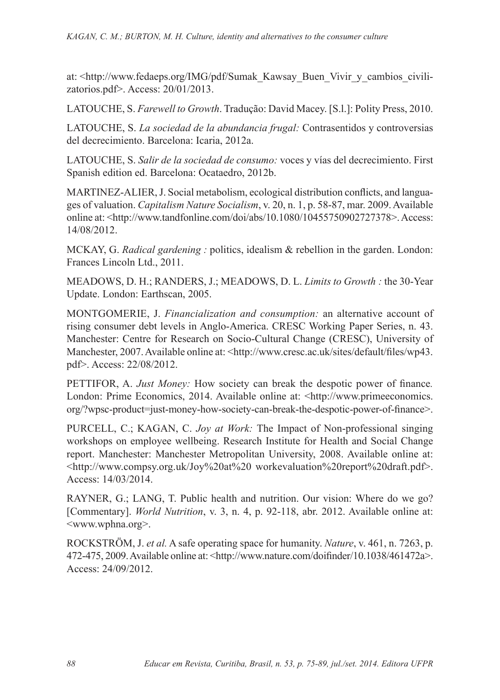at: <http://www.fedaeps.org/IMG/pdf/Sumak\_Kawsay\_Buen\_Vivir\_y\_cambios\_civilizatorios.pdf>. Access: 20/01/2013.

LATOUCHE, S. *Farewell to Growth*. Tradução: David Macey. [S.l.]: Polity Press, 2010.

LATOUCHE, S. *La sociedad de la abundancia frugal:* Contrasentidos y controversias del decrecimiento. Barcelona: Icaria, 2012a.

LATOUCHE, S. *Salir de la sociedad de consumo:* voces y vías del decrecimiento. First Spanish edition ed. Barcelona: Ocataedro, 2012b.

MARTINEZ-ALIER, J. Social metabolism, ecological distribution conflicts, and languages of valuation. *Capitalism Nature Socialism*, v. 20, n. 1, p. 58-87, mar. 2009. Available online at: <http://www.tandfonline.com/doi/abs/10.1080/10455750902727378>. Access: 14/08/2012.

MCKAY, G. *Radical gardening :* politics, idealism & rebellion in the garden. London: Frances Lincoln Ltd., 2011.

MEADOWS, D. H.; RANDERS, J.; MEADOWS, D. L. *Limits to Growth :* the 30-Year Update. London: Earthscan, 2005.

MONTGOMERIE, J. *Financialization and consumption:* an alternative account of rising consumer debt levels in Anglo-America. CRESC Working Paper Series, n. 43. Manchester: Centre for Research on Socio-Cultural Change (CRESC), University of Manchester, 2007. Available online at: <http://www.cresc.ac.uk/sites/default/files/wp43. pdf>. Access: 22/08/2012.

PETTIFOR, A. *Just Money:* How society can break the despotic power of finance*.* London: Prime Economics, 2014. Available online at: <http://www.primeeconomics. org/?wpsc-product=just-money-how-society-can-break-the-despotic-power-of-finance>.

PURCELL, C.; KAGAN, C. *Joy at Work:* The Impact of Non-professional singing workshops on employee wellbeing. Research Institute for Health and Social Change report. Manchester: Manchester Metropolitan University, 2008. Available online at: <http://www.compsy.org.uk/Joy%20at%20 workevaluation%20report%20draft.pdf>. Access: 14/03/2014.

RAYNER, G.; LANG, T. Public health and nutrition. Our vision: Where do we go? [Commentary]. *World Nutrition*, v. 3, n. 4, p. 92-118, abr. 2012. Available online at: <www.wphna.org>.

ROCKSTRÖM, J. *et al.* A safe operating space for humanity. *Nature*, v. 461, n. 7263, p. 472-475, 2009. Available online at: <http://www.nature.com/doifinder/10.1038/461472a>. Access: 24/09/2012.